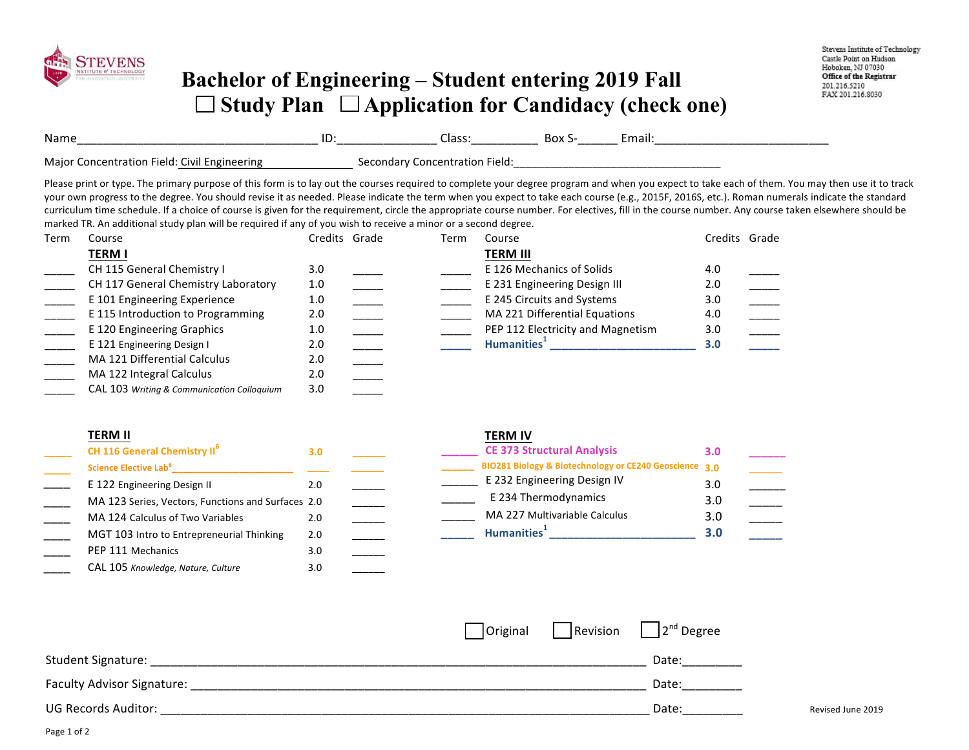

## **Bachelor of Engineering – Student entering 2019 Fall**  □ Study Plan □ Application for Candidacy (check one)

| Nam       | ID: | ____________<br>_______________ | . JUA<br>________ | - 10 11 |
|-----------|-----|---------------------------------|-------------------|---------|
| ำพป<br>nc |     |                                 |                   |         |

Please print or type. The primary purpose of this form is to lay out the courses required to complete your degree program and when you expect to take each of them. You may then use it to track your own progress to the degree. You should revise it as needed. Please indicate the term when you expect to take each course (e.g., 2015F, 2016S, etc.). Roman numerals indicate the standard curriculum time schedule. If a choice of course is given for the requirement, circle the appropriate course number. For electives, fill in the course number. Any course taken elsewhere should be marked TR. An additional study plan will be required if any of you wish to receive a minor or a second degree.

| Term | Course                                     | Credits Grade | Term | Course                            |     | Credits Grade |
|------|--------------------------------------------|---------------|------|-----------------------------------|-----|---------------|
|      | TERM I                                     |               |      | <b>TERM III</b>                   |     |               |
|      | CH 115 General Chemistry I                 | 3.0           |      | E 126 Mechanics of Solids         | 4.0 |               |
|      | CH 117 General Chemistry Laboratory        | 1.0           |      | E 231 Engineering Design III      | 2.0 |               |
|      | E 101 Engineering Experience               | 1.0           |      | E 245 Circuits and Systems        | 3.0 |               |
|      | E 115 Introduction to Programming          | 2.0           |      | MA 221 Differential Equations     | 4.0 |               |
|      | E 120 Engineering Graphics                 | 1.0           |      | PEP 112 Electricity and Magnetism | 3.0 |               |
|      | E 121 Engineering Design I                 | 2.0           |      | Humanities <sup>+</sup>           | 3.0 |               |
|      | MA 121 Differential Calculus               | 2.0           |      |                                   |     |               |
|      | MA 122 Integral Calculus                   | 2.0           |      |                                   |     |               |
|      | CAL 103 Writing & Communication Colloquium | 3.0           |      |                                   |     |               |

| <b>TERM II</b>                                     |     | <b>TERM IV</b>                                         |     |
|----------------------------------------------------|-----|--------------------------------------------------------|-----|
| CH 116 General Chemistry II <sup>6</sup>           | 3.0 | <b>CE 373 Structural Analysis</b>                      | 3.0 |
| Science Elective Lab <sup>6</sup>                  |     | BIO281 Biology & Biotechnology or CE240 Geoscience 3.0 |     |
| E 122 Engineering Design II                        | 2.0 | E 232 Engineering Design IV                            | 3.0 |
| MA 123 Series, Vectors, Functions and Surfaces 2.0 |     | E 234 Thermodynamics                                   | 3.0 |
| MA 124 Calculus of Two Variables                   | 2.0 | MA 227 Multivariable Calculus                          | 3.0 |
| MGT 103 Intro to Entrepreneurial Thinking          | 2.0 | Humanities <sup>1</sup>                                | 3.0 |
| PEP 111 Mechanics                                  | 3.0 |                                                        |     |

|                            |  | $\vert$ Original $\vert$ Revision $\vert$ $\vert$ 2 <sup>nd</sup> Degree |                   |
|----------------------------|--|--------------------------------------------------------------------------|-------------------|
| <b>Student Signature:</b>  |  | Date:                                                                    |                   |
| Faculty Advisor Signature: |  | Date:                                                                    |                   |
| <b>UG Records Auditor:</b> |  | Date:                                                                    | Revised June 2019 |

\_\_\_\_ CAL 105 *Knowledge, Nature, Culture* 3.0 \_\_\_\_\_\_